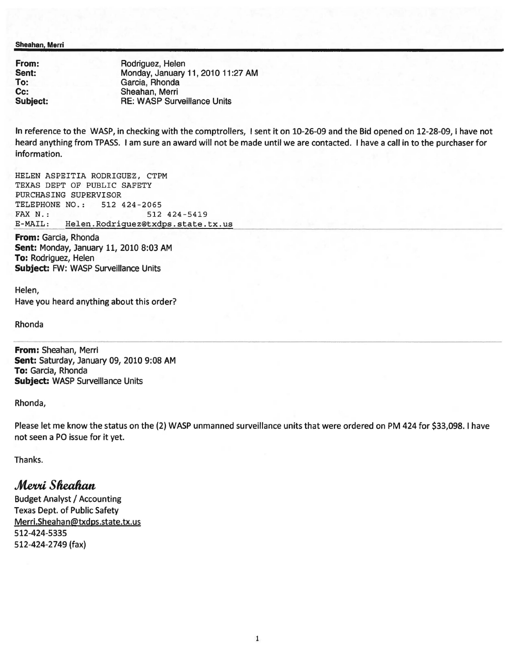Sheahan. Merri

| From:           | Rodriguez, Helen                   |
|-----------------|------------------------------------|
| Sent:           | Monday, January 11, 2010 11:27 AM  |
| To:             | Garcia, Rhonda                     |
| Cc:             | Sheahan, Merri                     |
| <b>Subject:</b> | <b>RE: WASP Surveillance Units</b> |

In reference to the WASP, in checking with the comptrollers, I sent it on 10-26-09 and the Bid opened on 12-28-09, I have not heard anything from TPASS. I am sure an award will not be made until we are contacted. I have a call in to the purchaser for information.

HELEN ASPEITIA RODRIGUEZ, CTPM TEXAS DEPT OF PUBLIC SAFETY PURCHASING SUPERVISOR TELEPHONE NO.: 512 424-2065 FAX N.: 512 424-5419<br>E-MAIL: Helen.Rodriquez@txdps.state. Helen.Rodriguez@txdps.state.tx.us

From: Garcia, Rhonda Sent: Monday, January 11, 2010 8:03 AM To: Rodriguez, Helen Subject: FW: WASP Surveillance Units

Helen, Have you heard anything about this order?

Rhonda

From: Sheahan, Merri Sent: Saturday, January 09, 2010 9:08 AM To: Garcia, Rhonda Subject: WASP Surveillance Units

Rhonda,

Please let me know the status on the (2) WASP unmanned surveillance units that were ordered on PM 424 for \$33,098. I have not seen a PO issue for it yet.

Thanks.

## *Merri Sheahan*

Budget Analyst / Accounting Texas Dept. of Public Safety Merri.Sheahan@txdps.state.tx.us 512-424-5335 512-424-2749 (fax)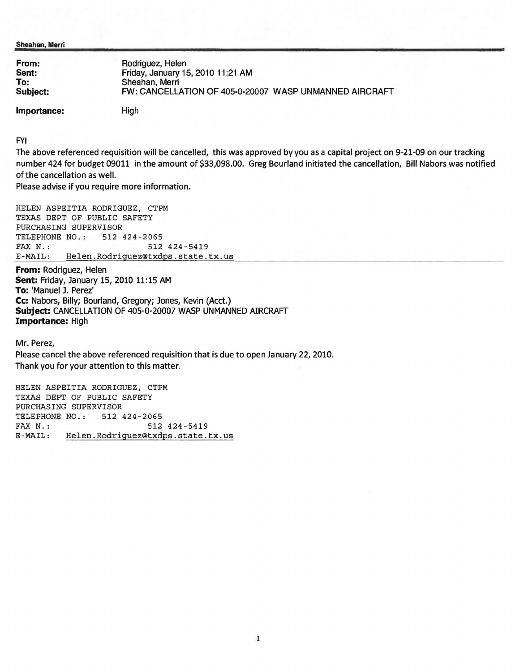Sheahan. Merri

| From:    | Rodriguez, Helen                                       |
|----------|--------------------------------------------------------|
| Sent:    | Friday, January 15, 2010 11:21 AM                      |
| To:      | Sheahan, Merri                                         |
| Subject: | FW: CANCELLATION OF 405-0-20007 WASP UNMANNED AIRCRAFT |

Importance:

High

FYI

The above referenced requisition will be cancelled, this was approved by you as a capital project on 9-21-09 on our tracking number 424 for budget 09011 in the amount of \$33,098.00. Greg Bourland initiated the cancellation, Bill Nabors was notified of the cancellation as well.

Please advise if you require more information.

HELEN ASPEITIA RODRIGUEZ, CTPM TEXAS DEPT OF PUBLIC SAFETY PURCHASING SUPERVISOR TELEPHONE NO.: 512 424-2065 FAX N.: 512 424-5419<br>E-MAIL: Helen.Rodriquez@txdps.state. Helen.Rodriguez@txdps.state.tx.us

From: Rodriguez, Helen Sent: Friday, January 15, 2010 11:15 AM To: 'Manuel J. Perez' Cc: Nabors, Billy; Bourland, Gregory; Jones, Kevin (Acct.) Subject: CANCELLATION OF 405-0-20007 WASP UNMANNED AIRCRAFT Importance: High

Mr. Perez,

Please cancel the above referenced requisition that is due to open January 22, 2010. Thank you for your attention to this matter.

HELEN ASPEITIA RODRIGUEZ, CTPM TEXAS DEPT OF PUBLIC SAFETY PURCHASING SUPERVISOR TELEPHONE NO.: 512 424-2065 FAX N.: 512 424-5419<br>E-MAIL: Helen.Rodriquez@txdps.state. Helen.Rodriguez@txdps.state.tx.us